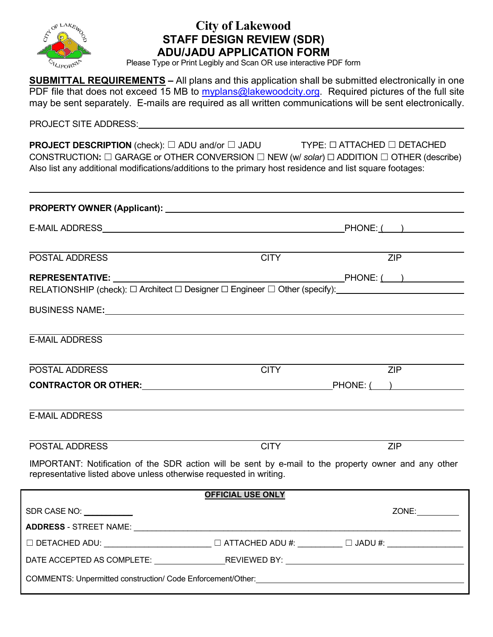

### **City of Lakewood STAFF DESIGN REVIEW (SDR) ADU/JADU APPLICATION FORM**

Please Type or Print Legibly and Scan OR use interactive PDF form

**SUBMITTAL REQUIREMENTS –** All plans and this application shall be submitted electronically in one PDF file that does not exceed 15 MB to [myplans@lakewoodcity.org.](mailto:myplans@lakewoodcity.org) Required pictures of the full site may be sent separately. E-mails are required as all written communications will be sent electronically.

PROJECT SITE ADDRESS:

**PROJECT DESCRIPTION** (check): □ ADU and/or □ JADU TYPE: □ ATTACHED □ DETACHED CONSTRUCTION**:** ☐ GARAGE or OTHER CONVERSION ☐ NEW (w/ *solar*) ☐ ADDITION ☐ OTHER (describe) Also list any additional modifications/additions to the primary host residence and list square footages:

| POSTAL ADDRESS                                                                                                                                                             | <b>CITY</b> | ZIP              |  |  |  |
|----------------------------------------------------------------------------------------------------------------------------------------------------------------------------|-------------|------------------|--|--|--|
| <b>REPRESENTATIVE:</b>                                                                                                                                                     |             |                  |  |  |  |
| RELATIONSHIP (check): □ Architect □ Designer □ Engineer □ Other (specify):                                                                                                 |             |                  |  |  |  |
|                                                                                                                                                                            |             |                  |  |  |  |
|                                                                                                                                                                            |             |                  |  |  |  |
| <b>E-MAIL ADDRESS</b>                                                                                                                                                      |             |                  |  |  |  |
|                                                                                                                                                                            |             |                  |  |  |  |
| POSTAL ADDRESS                                                                                                                                                             | <b>CITY</b> | $\overline{ZIP}$ |  |  |  |
| CONTRACTOR OR OTHER: PHONE: ( )                                                                                                                                            |             |                  |  |  |  |
|                                                                                                                                                                            |             |                  |  |  |  |
| <b>E-MAIL ADDRESS</b>                                                                                                                                                      |             |                  |  |  |  |
|                                                                                                                                                                            |             |                  |  |  |  |
| <b>POSTAL ADDRESS</b>                                                                                                                                                      | <b>CITY</b> | <b>ZIP</b>       |  |  |  |
| IMPORTANT: Notification of the SDR action will be sent by e-mail to the property owner and any other<br>representative listed above unless otherwise requested in writing. |             |                  |  |  |  |
| <b>OFFICIAL USE ONLY</b>                                                                                                                                                   |             |                  |  |  |  |
| SDR CASE NO: ___________                                                                                                                                                   |             | ZONE:            |  |  |  |
|                                                                                                                                                                            |             |                  |  |  |  |
| $\Box$ DETACHED ADU: ________________________ $\Box$ ATTACHED ADU #: ________ $\Box$ JADU #: _________________                                                             |             |                  |  |  |  |
|                                                                                                                                                                            |             |                  |  |  |  |
|                                                                                                                                                                            |             |                  |  |  |  |